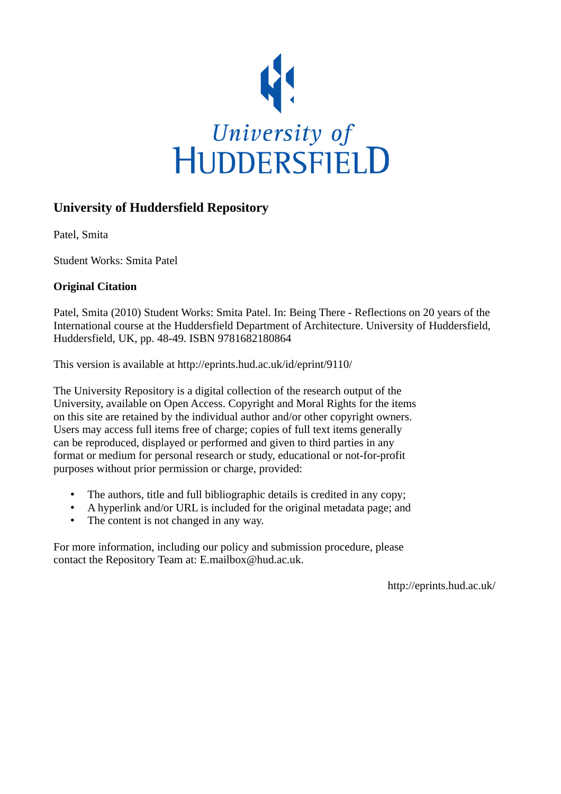

## **University of Huddersfield Repository**

Patel, Smita

Student Works: Smita Patel

## **Original Citation**

Patel, Smita (2010) Student Works: Smita Patel. In: Being There - Reflections on 20 years of the International course at the Huddersfield Department of Architecture. University of Huddersfield, Huddersfield, UK, pp. 48-49. ISBN 9781682180864

This version is available at http://eprints.hud.ac.uk/id/eprint/9110/

The University Repository is a digital collection of the research output of the University, available on Open Access. Copyright and Moral Rights for the items on this site are retained by the individual author and/or other copyright owners. Users may access full items free of charge; copies of full text items generally can be reproduced, displayed or performed and given to third parties in any format or medium for personal research or study, educational or not-for-profit purposes without prior permission or charge, provided:

- The authors, title and full bibliographic details is credited in any copy;
- A hyperlink and/or URL is included for the original metadata page; and
- The content is not changed in any way.

For more information, including our policy and submission procedure, please contact the Repository Team at: E.mailbox@hud.ac.uk.

http://eprints.hud.ac.uk/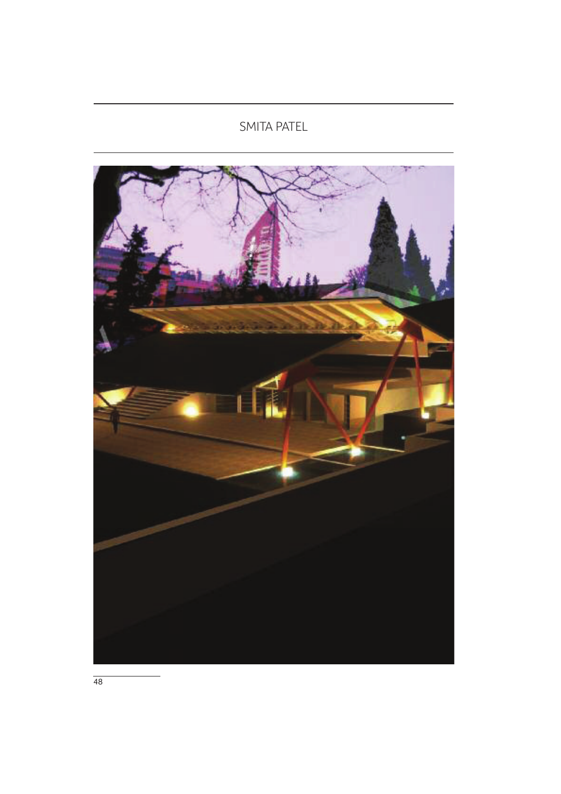## SMITA PATEL